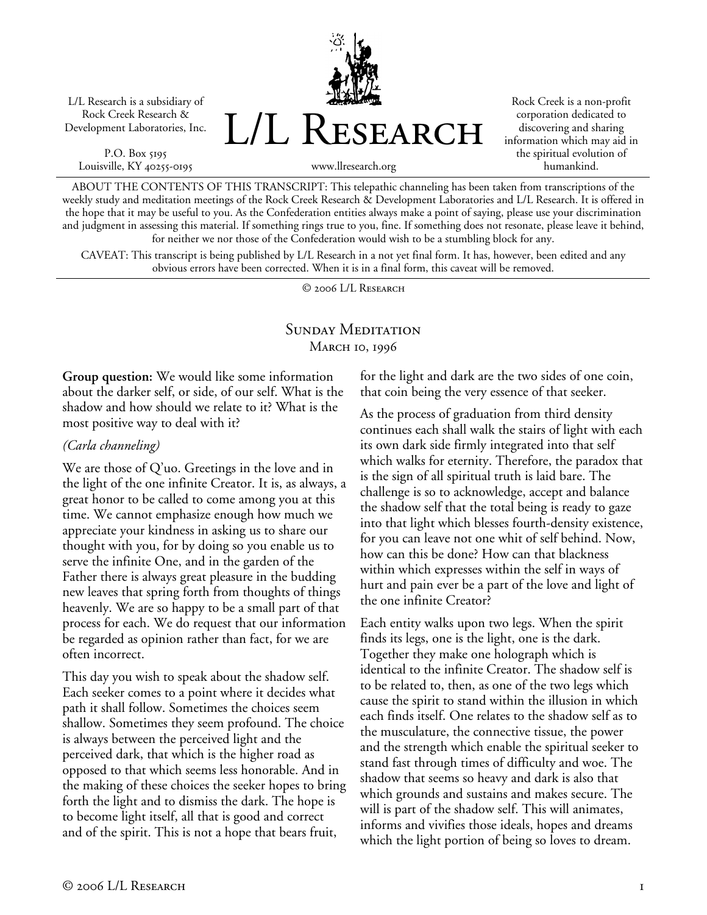L/L Research is a subsidiary of Rock Creek Research & Development Laboratories, Inc.

P.O. Box 5195 Louisville, KY 40255-0195



Rock Creek is a non-profit corporation dedicated to discovering and sharing information which may aid in the spiritual evolution of humankind.

www.llresearch.org

ABOUT THE CONTENTS OF THIS TRANSCRIPT: This telepathic channeling has been taken from transcriptions of the weekly study and meditation meetings of the Rock Creek Research & Development Laboratories and L/L Research. It is offered in the hope that it may be useful to you. As the Confederation entities always make a point of saying, please use your discrimination and judgment in assessing this material. If something rings true to you, fine. If something does not resonate, please leave it behind, for neither we nor those of the Confederation would wish to be a stumbling block for any.

CAVEAT: This transcript is being published by L/L Research in a not yet final form. It has, however, been edited and any obvious errors have been corrected. When it is in a final form, this caveat will be removed.

© 2006 L/L Research

## SUNDAY MEDITATION MARCH 10, 1996

**Group question:** We would like some information about the darker self, or side, of our self. What is the shadow and how should we relate to it? What is the most positive way to deal with it?

## *(Carla channeling)*

We are those of Q'uo. Greetings in the love and in the light of the one infinite Creator. It is, as always, a great honor to be called to come among you at this time. We cannot emphasize enough how much we appreciate your kindness in asking us to share our thought with you, for by doing so you enable us to serve the infinite One, and in the garden of the Father there is always great pleasure in the budding new leaves that spring forth from thoughts of things heavenly. We are so happy to be a small part of that process for each. We do request that our information be regarded as opinion rather than fact, for we are often incorrect.

This day you wish to speak about the shadow self. Each seeker comes to a point where it decides what path it shall follow. Sometimes the choices seem shallow. Sometimes they seem profound. The choice is always between the perceived light and the perceived dark, that which is the higher road as opposed to that which seems less honorable. And in the making of these choices the seeker hopes to bring forth the light and to dismiss the dark. The hope is to become light itself, all that is good and correct and of the spirit. This is not a hope that bears fruit,

for the light and dark are the two sides of one coin, that coin being the very essence of that seeker.

As the process of graduation from third density continues each shall walk the stairs of light with each its own dark side firmly integrated into that self which walks for eternity. Therefore, the paradox that is the sign of all spiritual truth is laid bare. The challenge is so to acknowledge, accept and balance the shadow self that the total being is ready to gaze into that light which blesses fourth-density existence, for you can leave not one whit of self behind. Now, how can this be done? How can that blackness within which expresses within the self in ways of hurt and pain ever be a part of the love and light of the one infinite Creator?

Each entity walks upon two legs. When the spirit finds its legs, one is the light, one is the dark. Together they make one holograph which is identical to the infinite Creator. The shadow self is to be related to, then, as one of the two legs which cause the spirit to stand within the illusion in which each finds itself. One relates to the shadow self as to the musculature, the connective tissue, the power and the strength which enable the spiritual seeker to stand fast through times of difficulty and woe. The shadow that seems so heavy and dark is also that which grounds and sustains and makes secure. The will is part of the shadow self. This will animates, informs and vivifies those ideals, hopes and dreams which the light portion of being so loves to dream.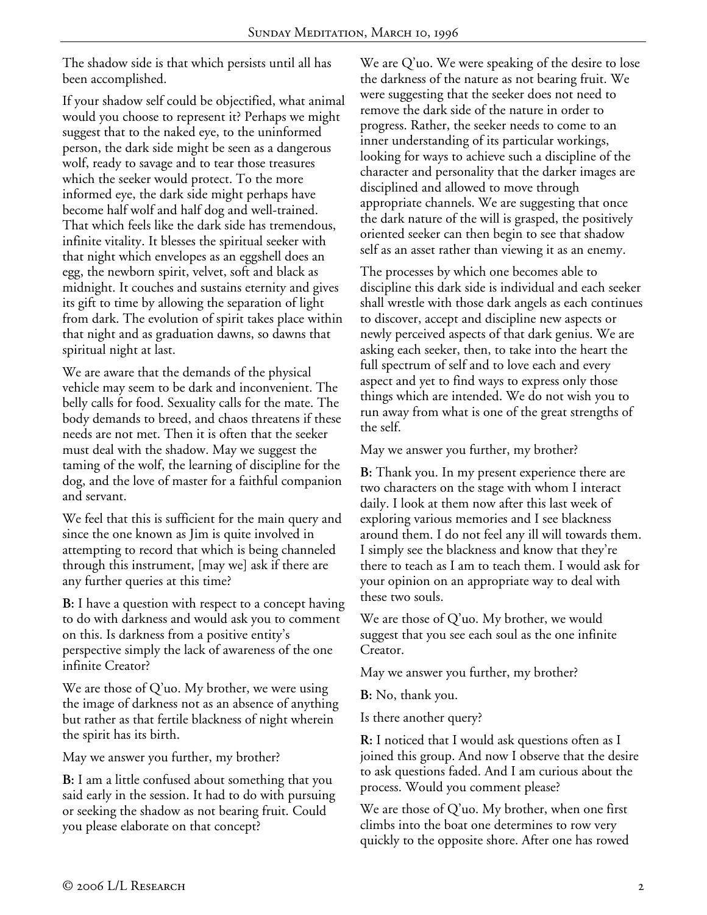The shadow side is that which persists until all has been accomplished.

If your shadow self could be objectified, what animal would you choose to represent it? Perhaps we might suggest that to the naked eye, to the uninformed person, the dark side might be seen as a dangerous wolf, ready to savage and to tear those treasures which the seeker would protect. To the more informed eye, the dark side might perhaps have become half wolf and half dog and well-trained. That which feels like the dark side has tremendous, infinite vitality. It blesses the spiritual seeker with that night which envelopes as an eggshell does an egg, the newborn spirit, velvet, soft and black as midnight. It couches and sustains eternity and gives its gift to time by allowing the separation of light from dark. The evolution of spirit takes place within that night and as graduation dawns, so dawns that spiritual night at last.

We are aware that the demands of the physical vehicle may seem to be dark and inconvenient. The belly calls for food. Sexuality calls for the mate. The body demands to breed, and chaos threatens if these needs are not met. Then it is often that the seeker must deal with the shadow. May we suggest the taming of the wolf, the learning of discipline for the dog, and the love of master for a faithful companion and servant.

We feel that this is sufficient for the main query and since the one known as Jim is quite involved in attempting to record that which is being channeled through this instrument, [may we] ask if there are any further queries at this time?

**B:** I have a question with respect to a concept having to do with darkness and would ask you to comment on this. Is darkness from a positive entity's perspective simply the lack of awareness of the one infinite Creator?

We are those of Q'uo. My brother, we were using the image of darkness not as an absence of anything but rather as that fertile blackness of night wherein the spirit has its birth.

May we answer you further, my brother?

**B:** I am a little confused about something that you said early in the session. It had to do with pursuing or seeking the shadow as not bearing fruit. Could you please elaborate on that concept?

We are Q'uo. We were speaking of the desire to lose the darkness of the nature as not bearing fruit. We were suggesting that the seeker does not need to remove the dark side of the nature in order to progress. Rather, the seeker needs to come to an inner understanding of its particular workings, looking for ways to achieve such a discipline of the character and personality that the darker images are disciplined and allowed to move through appropriate channels. We are suggesting that once the dark nature of the will is grasped, the positively oriented seeker can then begin to see that shadow self as an asset rather than viewing it as an enemy.

The processes by which one becomes able to discipline this dark side is individual and each seeker shall wrestle with those dark angels as each continues to discover, accept and discipline new aspects or newly perceived aspects of that dark genius. We are asking each seeker, then, to take into the heart the full spectrum of self and to love each and every aspect and yet to find ways to express only those things which are intended. We do not wish you to run away from what is one of the great strengths of the self.

May we answer you further, my brother?

**B:** Thank you. In my present experience there are two characters on the stage with whom I interact daily. I look at them now after this last week of exploring various memories and I see blackness around them. I do not feel any ill will towards them. I simply see the blackness and know that they're there to teach as I am to teach them. I would ask for your opinion on an appropriate way to deal with these two souls.

We are those of Q'uo. My brother, we would suggest that you see each soul as the one infinite Creator.

May we answer you further, my brother?

**B:** No, thank you.

Is there another query?

**R:** I noticed that I would ask questions often as I joined this group. And now I observe that the desire to ask questions faded. And I am curious about the process. Would you comment please?

We are those of Q'uo. My brother, when one first climbs into the boat one determines to row very quickly to the opposite shore. After one has rowed